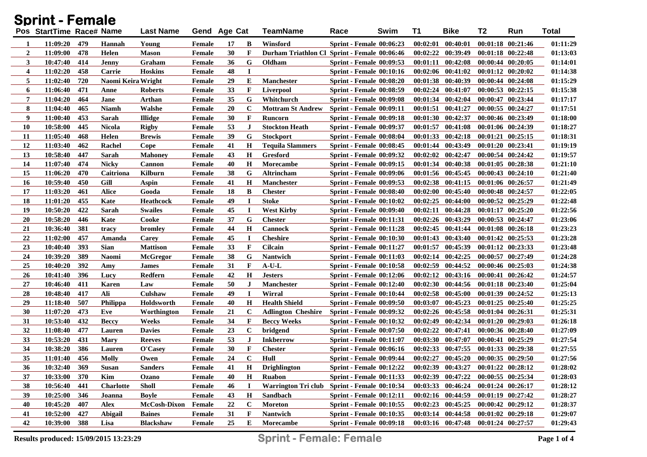| Sprint - Female  |                          |     |                    |                  |        |              |             |                                                  |                                              |    |          |                                             |                       |                   |              |
|------------------|--------------------------|-----|--------------------|------------------|--------|--------------|-------------|--------------------------------------------------|----------------------------------------------|----|----------|---------------------------------------------|-----------------------|-------------------|--------------|
|                  | Pos StartTime Race# Name |     |                    | <b>Last Name</b> |        | Gend Age Cat |             | <b>TeamName</b>                                  | Swim<br>Race                                 | T1 |          | <b>Bike</b>                                 | T <sub>2</sub>        | Run               | <b>Total</b> |
| 1                | 11:09:20                 | 479 | Hannah             | Young            | Female | 17           | B           | Winsford                                         | <b>Sprint - Female 00:06:23</b>              |    |          | $00:02:01$ $00:40:01$                       | 00:01:18 00:21:46     |                   | 01:11:29     |
| $\boldsymbol{2}$ | 11:09:00                 | 478 | Helen              | <b>Mason</b>     | Female | 30           | $\mathbf F$ |                                                  | Durham Triathlon Cl Sprint - Female 00:06:46 |    |          | $00:02:22$ $00:39:49$                       |                       | 00:01:18 00:22:48 | 01:13:03     |
| 3                | 10:47:40                 | 414 | <b>Jenny</b>       | Graham           | Female | 36           | G           | Oldham                                           | <b>Sprint - Female 00:09:53</b>              |    |          | $00:01:11$ $00:42:08$                       |                       | 00:00:44 00:20:05 | 01:14:01     |
| 4                | 11:02:20                 | 458 | Carrie             | <b>Hoskins</b>   | Female | 48           | 1           |                                                  | <b>Sprint - Female 00:10:16</b>              |    |          | 00:02:06 00:41:02                           |                       | 00:01:12 00:20:02 | 01:14:38     |
| 5                | 11:02:40                 | 720 | Naomi Keira Wright |                  | Female | 29           | Е           | <b>Manchester</b>                                | Sprint - Female 00:08:20                     |    |          | 00:01:38 00:40:39                           |                       | 00:00:44 00:24:08 | 01:15:29     |
| 6                | 11:06:40                 | 471 | Anne               | Roberts          | Female | 33           | $\mathbf F$ | Liverpool                                        | <b>Sprint - Female 00:08:59</b>              |    | 00:02:24 | 00:41:07                                    |                       | 00:00:53 00:22:15 | 01:15:38     |
| 7                | 11:04:20                 | 464 | Jane               | Arthan           | Female | 35           | G           | Whitchurch                                       | Sprint - Female 00:09:08                     |    | 00:01:34 | 00:42:04                                    |                       | 00:00:47 00:23:44 | 01:17:17     |
| 8                | 11:04:40                 | 465 | Niamh              | Walshe           | Female | 20           | $\mathbf C$ | <b>Mottram St Andrew</b>                         | <b>Sprint - Female 00:09:11</b>              |    |          | $00:01:51$ $00:41:27$                       |                       | 00:00:55 00:24:27 | 01:17:51     |
| 9                | 11:00:40                 | 453 | Sarah              | <b>Illidge</b>   | Female | 30           | $\mathbf F$ | Runcorn                                          | <b>Sprint - Female 00:09:18</b>              |    |          | 00:01:30 00:42:37                           |                       | 00:00:46 00:23:49 | 01:18:00     |
| <b>10</b>        | 10:58:00                 | 445 | <b>Nicola</b>      | <b>Rigby</b>     | Female | 53           | J           | <b>Stockton Heath</b>                            | <b>Sprint - Female 00:09:37</b>              |    | 00:01:57 | 00:41:08                                    |                       | 00:01:06 00:24:39 | 01:18:27     |
| 11               | 11:05:40                 | 468 | Helen              | <b>Brewis</b>    | Female | 39           | G           | <b>Stockport</b>                                 | <b>Sprint - Female 00:08:04</b>              |    |          | $00:01:33$ $00:42:18$                       |                       | 00:01:21 00:25:15 | 01:18:31     |
| 12               | 11:03:40                 | 462 | Rachel             | Cope             | Female | 41           | $\mathbf H$ | <b>Tequila Slammers</b>                          | <b>Sprint - Female 00:08:45</b>              |    | 00:01:44 | 00:43:49                                    |                       | 00:01:20 00:23:41 | 01:19:19     |
| 13               | 10:58:40                 | 447 | Sarah              | <b>Mahoney</b>   | Female | 43           | $\mathbf H$ | Gresford                                         | <b>Sprint - Female 00:09:32</b>              |    | 00:02:02 | 00:42:47                                    |                       | 00:00:54 00:24:42 | 01:19:57     |
| 14               | 11:07:40                 | 474 | <b>Nicky</b>       | <b>Cannon</b>    | Female | 40           | $\mathbf H$ | <b>Morecambe</b>                                 | <b>Sprint - Female 00:09:15</b>              |    | 00:01:34 | 00:40:38                                    |                       | 00:01:05 00:28:38 | 01:21:10     |
| 15               | 11:06:20                 | 470 | Caitriona          | Kilburn          | Female | 38           | G           | Altrincham                                       | <b>Sprint - Female 00:09:06</b>              |    |          | 00:01:56 00:45:45                           | 00:00:43 00:24:10     |                   | 01:21:40     |
| <b>16</b>        | 10:59:40                 | 450 | Gill               | Aspin            | Female | 41           | $\mathbf H$ | <b>Manchester</b>                                | <b>Sprint - Female 00:09:53</b>              |    |          | 00:02:38 00:41:15                           | 00:01:06 00:26:57     |                   | 01:21:49     |
| 17               | 11:03:20                 | 461 | Alice              | Gooda            | Female | 18           | B           | <b>Chester</b>                                   | Sprint - Female 00:08:40                     |    |          | $00:02:00$ $00:45:40$                       | 00:00:48 00:24:57     |                   | 01:22:05     |
| 18               | 11:01:20                 | 455 | Kate               | <b>Heathcock</b> | Female | 49           | $\mathbf I$ | <b>Stoke</b>                                     | Sprint - Female 00:10:02                     |    |          | $00:02:25$ $00:44:00$                       |                       | 00:00:52 00:25:29 | 01:22:48     |
| 19               | 10:50:20                 | 422 | Sarah              | <b>Swailes</b>   | Female | 45           | I           | <b>West Kirby</b>                                | Sprint - Female 00:09:40                     |    |          | $00:02:11$ $00:44:28$                       |                       | 00:01:17 00:25:20 | 01:22:56     |
| 20               | 10:58:20                 | 446 | Kate               | Cooke            | Female | 37           | G           | <b>Chester</b>                                   | <b>Sprint - Female 00:11:31</b>              |    |          | 00:02:26 00:43:29                           |                       | 00:00:53 00:24:47 | 01:23:06     |
| 21               | 10:36:40                 | 381 | tracy              | bromlev          | Female | 44           | $\mathbf H$ | <b>Cannock</b>                                   | Sprint - Female 00:11:28                     |    |          | $00:02:45$ $00:41:44$                       |                       | 00:01:08 00:26:18 | 01:23:23     |
| 22               | 11:02:00                 | 457 | Amanda             | Carey            | Female | 45           | I           | <b>Cheshire</b>                                  | Sprint - Female 00:10:30                     |    |          | 00:01:43 00:43:40                           | 00:01:42 00:25:53     |                   | 01:23:28     |
| 23               | 10:40:40                 | 393 | <b>Sian</b>        | <b>Mattison</b>  | Female | 33           | $\mathbf F$ | <b>Cilcain</b>                                   | <b>Sprint - Female 00:11:27</b>              |    |          | 00:01:57 00:45:39                           |                       | 00:01:12 00:23:33 | 01:23:48     |
| 24               | 10:39:20                 | 389 | <b>Naomi</b>       | <b>McGregor</b>  | Female | 38           | G           | <b>Nantwich</b>                                  | <b>Sprint - Female 00:11:03</b>              |    | 00:02:14 | 00:42:25                                    |                       | 00:00:57 00:27:49 | 01:24:28     |
| 25               | 10:40:20                 | 392 | Amy                | James            | Female | 31           | $\mathbf F$ | $\mathbf{A}\text{-}\mathbf{U}\text{-}\mathbf{L}$ | Sprint - Female 00:10:58                     |    |          | 00:02:59 00:44:52                           |                       | 00:00:46 00:25:03 | 01:24:38     |
| 26               | 10:41:40                 | 396 | Lucy               | <b>Redfern</b>   | Female | 42           | $\mathbf H$ | <b>Jesters</b>                                   | Sprint - Female 00:12:06                     |    |          | 00:02:12 00:43:16                           | 00:00:41 00:26:42     |                   | 01:24:57     |
| 27               | 10:46:40                 | 411 | <b>Karen</b>       | Law              | Female | 50           | J           | <b>Manchester</b>                                | Sprint - Female 00:12:40                     |    |          | 00:02:30 00:44:56                           | 00:01:18 00:23:40     |                   | 01:25:04     |
| 28               | 10:48:40                 | 417 | Ali                | Culshaw          | Female | 49           | 1           | Wirral                                           | Sprint - Female 00:10:44                     |    |          | 00:02:58 00:45:00                           |                       | 00:01:39 00:24:52 | 01:25:13     |
| 29               | 11:18:40                 | 507 | <b>Philippa</b>    | Holdsworth       | Female | 40           | $\mathbf H$ | <b>Health Shield</b>                             | <b>Sprint - Female 00:09:50</b>              |    | 00:03:07 | 00:45:23                                    |                       | 00:01:25 00:25:40 | 01:25:25     |
| 30               | 11:07:20                 | 473 | Eve                | Worthington      | Female | 21           | $\mathbf C$ | <b>Adlington Cheshire</b>                        | <b>Sprint - Female 00:09:32</b>              |    |          | 00:02:26 00:45:58                           | 00:01:04 00:26:31     |                   | 01:25:31     |
| 31               | 10:53:40                 | 432 | <b>Beccy</b>       | Weeks            | Female | 34           | F           | <b>Beccy Weeks</b>                               | <b>Sprint - Female 00:10:32</b>              |    |          | 00:02:49 00:42:34                           |                       | 00:01:20 00:29:03 | 01:26:18     |
| 32               | 11:08:40                 | 477 | Lauren             | <b>Davies</b>    | Female | 23           | $\mathbf C$ | bridgend                                         | <b>Sprint - Female 00:07:50</b>              |    |          | 00:02:22 00:47:41                           | 00:00:36 00:28:40     |                   | 01:27:09     |
| 33               | 10:53:20                 | 431 | Mary               | <b>Reeves</b>    | Female | 53           | $\bf J$     | <b>Inkberrow</b>                                 | <b>Sprint - Female 00:11:07</b>              |    |          | 00:03:30 00:47:07                           |                       | 00:00:41 00:25:29 | 01:27:54     |
| 34               | 10:38:20                 | 386 | Lauren             | O'Casey          | Female | 30           | F           | <b>Chester</b>                                   | <b>Sprint - Female 00:06:16</b>              |    |          | $00:02:33$ $00:47:55$                       | 00:01:33 00:29:38     |                   | 01:27:55     |
| 35               | 11:01:40                 | 456 | <b>Molly</b>       | Owen             | Female | 24           | $\mathbf C$ | Hull                                             | Sprint - Female 00:09:44                     |    |          | $00:02:27$ $00:45:20$ $00:00:35$ $00:29:50$ |                       |                   | 01:27:56     |
| 36               | 10:32:40 369             |     | <b>Susan</b>       | <b>Sanders</b>   | Female | 41           | H           | <b>Drighlington</b>                              | Sprint - Female 00:12:22                     |    |          | $00:02:39$ $00:43:27$                       | $00:01:22$ $00:28:12$ |                   | 01:28:02     |
| 37               | 10:33:00                 | 370 | Kim                | Ozano            | Female | 40           | $\bf H$     | <b>Ruabon</b>                                    | <b>Sprint - Female 00:11:33</b>              |    |          | 00:02:39 00:47:22                           | 00:00:55 00:25:34     |                   | 01:28:03     |
| 38               | 10:56:40                 | 441 | <b>Charlotte</b>   | <b>Sholl</b>     | Female | 46           | 1           | <b>Warrington Tri club</b>                       | Sprint - Female 00:10:34                     |    |          | 00:03:33 00:46:24                           | 00:01:24 00:26:17     |                   | 01:28:12     |
| 39               | 10:25:00                 | 346 | Joanna             | <b>Boyle</b>     | Female | 43           | $\mathbf H$ | Sandbach                                         | <b>Sprint - Female 00:12:11</b>              |    |          | 00:02:16 00:44:59                           | 00:01:19 00:27:42     |                   | 01:28:27     |
| 40               | 10:45:20                 | 407 | <b>Alex</b>        | McCosh-Dixon     | Female | 22           | $\mathbf C$ | <b>Moreton</b>                                   | <b>Sprint - Female 00:10:55</b>              |    |          | 00:02:23 00:45:25                           | 00:00:42 00:29:12     |                   | 01:28:37     |
| 41               | 10:52:00                 | 427 | <b>Abigail</b>     | <b>Baines</b>    | Female | 31           | F           | Nantwich                                         | <b>Sprint - Female 00:10:35</b>              |    |          | 00:03:14 00:44:58                           | $00:01:02$ $00:29:18$ |                   | 01:29:07     |
| 42               | 10:39:00                 | 388 | Lisa               | <b>Blackshaw</b> | Female | 25           | E           | Morecambe                                        | <b>Sprint - Female 00:09:18</b>              |    |          | $00:03:16$ $00:47:48$                       | $00:01:24$ $00:27:57$ |                   | 01:29:43     |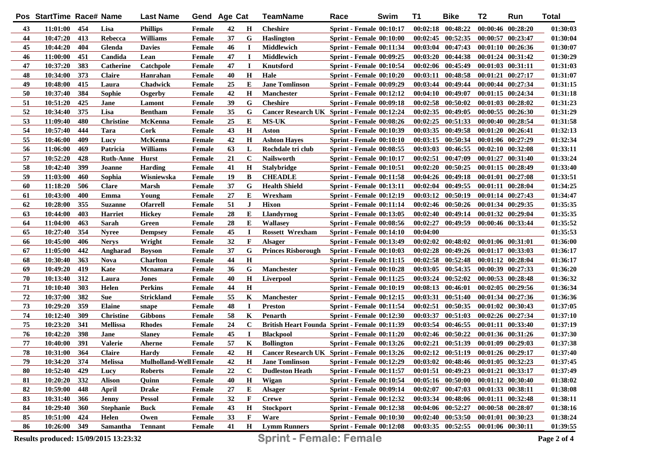|            | Pos StartTime Race# Name |     |                  | <b>Last Name</b>              | Gend Age Cat  |    |              | TeamName                                      | Race                            | Swim | <b>T1</b> | <b>Bike</b>                         | T <sub>2</sub>        | Run                   | <b>Total</b> |
|------------|--------------------------|-----|------------------|-------------------------------|---------------|----|--------------|-----------------------------------------------|---------------------------------|------|-----------|-------------------------------------|-----------------------|-----------------------|--------------|
| 43         | 11:01:00                 | 454 | Lisa             | <b>Phillips</b>               | Female        | 42 | Н            | <b>Cheshire</b>                               | Sprint - Female 00:10:17        |      |           | $00:02:18$ $00:48:22$               | 00:00:46 00:28:20     |                       | 01:30:03     |
| 44         | 10:47:20                 | 413 | Rebecca          | <b>Williams</b>               | Female        | 37 | G            | <b>Haslington</b>                             | Sprint - Female 00:10:00        |      |           | $00:02:45$ $00:52:35$               | $00:00:57$ $00:23:47$ |                       | 01:30:04     |
| 45         | 10:44:20                 | 404 | Glenda           | <b>Davies</b>                 | Female        | 46 | $\bf I$      | Middlewich                                    | <b>Sprint - Female 00:11:34</b> |      |           | $00:03:04$ $00:47:43$               | 00:01:10 00:26:36     |                       | 01:30:07     |
| 46         | 11:00:00                 | 451 | Candida          | Lean                          | Female        | 47 | $\mathbf I$  | Middlewich                                    | <b>Sprint - Female 00:09:25</b> |      |           | $00:03:20$ $00:44:38$               | 00:01:24 00:31:42     |                       | 01:30:29     |
| 47         | 10:37:20                 | 383 | <b>Catherine</b> | Catchpole                     | Female        | 47 | П            | Knutsford                                     | Sprint - Female 00:10:54        |      |           | 00:02:06 00:45:49                   | 00:01:03 00:31:11     |                       | 01:31:03     |
| 48         | 10:34:00                 | 373 | <b>Claire</b>    | Hanrahan                      | Female        | 40 | $\mathbf H$  | Hale                                          | Sprint - Female 00:10:20        |      |           | 00:03:11 00:48:58                   | $00:01:21$ $00:27:17$ |                       | 01:31:07     |
| 49         | 10:48:00                 | 415 | Laura            | <b>Chadwick</b>               | Female        | 25 | E            | <b>Jane Tomlinson</b>                         | <b>Sprint - Female 00:09:29</b> |      |           | 00:03:44 00:49:44                   | 00:00:44 00:27:34     |                       | 01:31:15     |
| 50         | 10:37:40                 | 384 | Sophie           | Osgerby                       | Female        | 42 | $\mathbf H$  | <b>Manchester</b>                             | <b>Sprint - Female 00:12:12</b> |      |           | 00:04:10 00:49:07                   | $00:01:15$ $00:24:34$ |                       | 01:31:18     |
| 51         | 10:51:20                 | 425 | Jane             | Lamont                        | Female        | 39 | G            | <b>Cheshire</b>                               | <b>Sprint - Female 00:09:18</b> |      |           | 00:02:58 00:50:02                   | $00:01:03$ $00:28:02$ |                       | 01:31:23     |
| 52         | 10:34:40                 | 375 | Lisa             | <b>Bentham</b>                | Female        | 35 | G            | Cancer Research UK Sprint - Female 00:12:24   |                                 |      |           | 00:02:35 00:49:05                   | $00:00:55$ $00:26:30$ |                       | 01:31:29     |
| 53         | 11:09:40                 | 480 | <b>Christine</b> | McKenna                       | Female        | 25 | Е            | <b>MS-UK</b>                                  | Sprint - Female 00:08:26        |      |           | $00:02:25$ $00:51:33$               | $00:00:40$ $00:28:54$ |                       | 01:31:58     |
| 54         | 10:57:40                 | 444 | <b>Tara</b>      | <b>Cork</b>                   | <b>Female</b> | 43 | H            | Aston                                         | <b>Sprint - Female 00:10:39</b> |      |           | 00:03:35 00:49:58                   | $00:01:20$ $00:26:41$ |                       | 01:32:13     |
| 55         | 10:46:00                 | 409 | Lucy             | <b>McKenna</b>                | Female        | 42 | $\mathbf H$  | <b>Ashton Hayes</b>                           | <b>Sprint - Female 00:10:10</b> |      |           | 00:03:15 00:50:34                   | 00:01:06 00:27:29     |                       | 01:32:34     |
| 56         | 11:06:00                 | 469 | Patricia         | <b>Williams</b>               | Female        | 63 | L            | Rochdale tri club                             | <b>Sprint - Female 00:08:55</b> |      |           | 00:03:03 00:46:55                   | $00:02:10$ $00:32:08$ |                       | 01:33:11     |
| 57         | 10:52:20                 | 428 | <b>Ruth-Anne</b> | Hurst                         | Female        | 21 | $\mathbf C$  | <b>Nailsworth</b>                             | <b>Sprint - Female 00:10:17</b> |      |           | 00:02:51 00:47:09                   | 00:01:27 00:31:40     |                       | 01:33:24     |
| 58         | 10:42:40                 | 399 | Joanne           | <b>Harding</b>                | <b>Female</b> | 41 | $\mathbf H$  | <b>Stalybridge</b>                            | <b>Sprint - Female 00:10:51</b> |      |           | $00:02:20$ $00:50:25$               | 00:01:15 00:28:49     |                       | 01:33:40     |
| 59         | 11:03:00                 | 460 | Sophia           | Wisniewska                    | <b>Female</b> | 19 | B            | <b>CHEADLE</b>                                | <b>Sprint - Female 00:11:58</b> |      |           | 00:04:26 00:49:18                   | $00:01:01$ $00:27:08$ |                       | 01:33:51     |
| 60         | 11:18:20                 | 506 | <b>Clare</b>     | <b>Marsh</b>                  | <b>Female</b> | 37 | G            | <b>Health Shield</b>                          | <b>Sprint - Female 00:13:11</b> |      |           | $00:02:04$ $00:49:55$               | $00:01:11$ $00:28:04$ |                       | 01:34:25     |
| 61         | 10:43:00                 | 400 | Emma             | Young                         | <b>Female</b> | 27 | E            | Wrexham                                       | <b>Sprint - Female 00:12:19</b> |      |           | 00:03:12 00:50:19                   | 00:01:14 00:27:43     |                       | 01:34:47     |
| 62         | 10:28:00                 | 355 | <b>Suzanne</b>   | <b>Ofarrell</b>               | <b>Female</b> | 51 | $\bf J$      | <b>Hixon</b>                                  | Sprint - Female 00:11:14        |      |           | 00:02:46 00:50:26                   | 00:01:34 00:29:35     |                       | 01:35:35     |
| 63         | 10:44:00                 | 403 | <b>Harriet</b>   | <b>Hickey</b>                 | <b>Female</b> | 28 | Е            | <b>Llandyrnog</b>                             | <b>Sprint - Female 00:13:05</b> |      |           | $00:02:40$ $00:49:14$               | 00:01:32 00:29:04     |                       | 01:35:35     |
| 64         | 11:04:00                 | 463 | Sarah            | Green                         | <b>Female</b> | 28 | Е            | <b>Wallasev</b>                               | Sprint - Female 00:08:56        |      |           | 00:02:27 00:49:59                   |                       | 00:00:46 00:33:44     | 01:35:52     |
| 65         | 10:27:40                 | 354 | <b>Nyree</b>     | <b>Dempsey</b>                | <b>Female</b> | 45 | $\mathbf I$  | <b>Rossett Wrexham</b>                        | <b>Sprint - Female 00:14:10</b> |      | 00:04:00  |                                     |                       |                       | 01:35:53     |
| 66         | 10:45:00                 | 406 | <b>Nerys</b>     | Wright                        | <b>Female</b> | 32 | $\mathbf{F}$ | <b>Alsager</b>                                | <b>Sprint - Female 00:13:49</b> |      |           | $00:02:02$ $00:48:02$               | 00:01:06 00:31:01     |                       | 01:36:00     |
| 67         | 11:05:00                 | 442 | Angharad         | <b>Boyson</b>                 | Female        | 37 | G            | <b>Princes Risborough</b>                     | <b>Sprint - Female 00:10:03</b> |      |           | 00:02:28 00:49:26                   | $00:01:17$ $00:33:03$ |                       | 01:36:17     |
| 68         | 10:30:40                 | 363 | <b>Nova</b>      | <b>Charlton</b>               | <b>Female</b> | 44 | H            |                                               | <b>Sprint - Female 00:11:15</b> |      |           | 00:02:58 00:52:48                   | 00:01:12 00:28:04     |                       | 01:36:17     |
| 69         | 10:49:20                 | 419 | Kate             | <b>Mcnamara</b>               | Female        | 36 | G            | <b>Manchester</b>                             | <b>Sprint - Female 00:10:28</b> |      |           | 00:03:05 00:54:35                   | 00:00:39 00:27:33     |                       | 01:36:20     |
| ${\bf 70}$ | 10:13:40                 | 312 | Laura            | <b>Jones</b>                  | <b>Female</b> | 40 | H            | Liverpool                                     | <b>Sprint - Female 00:11:25</b> |      | 00:03:24  | 00:52:02                            | 00:00:53 00:28:48     |                       | 01:36:32     |
| 71         | 10:10:40                 | 303 | Helen            | <b>Perkins</b>                | Female        | 44 | H            |                                               | <b>Sprint - Female 00:10:19</b> |      |           | 00:08:13 00:46:01                   |                       | $00:02:05$ $00:29:56$ | 01:36:34     |
| ${\bf 72}$ | 10:37:00                 | 382 | <b>Sue</b>       | <b>Strickland</b>             | Female        | 55 | K            | <b>Manchester</b>                             | <b>Sprint - Female 00:12:15</b> |      |           | 00:03:31 00:51:40                   |                       | 00:01:34 00:27:36     | 01:36:36     |
| 73         | 10:29:20                 | 359 | <b>Elaine</b>    | snape                         | <b>Female</b> | 48 | $\bf{I}$     | <b>Preston</b>                                | <b>Sprint - Female 00:11:54</b> |      | 00:02:51  | 00:50:35                            | 00:01:02 00:30:43     |                       | 01:37:05     |
| 74         | 10:12:40                 | 309 | <b>Christine</b> | <b>Gibbons</b>                | Female        | 58 | K            | Penarth                                       | <b>Sprint - Female 00:12:30</b> |      | 00:03:37  | 00:51:03                            | 00:02:26 00:27:34     |                       | 01:37:10     |
| 75         | 10:23:20                 | 341 | <b>Mellissa</b>  | <b>Rhodes</b>                 | Female        | 24 | $\mathbf C$  | British Heart Founda Sprint - Female 00:11:39 |                                 |      | 00:03:54  | 00:46:55                            |                       | 00:01:11 00:33:40     | 01:37:19     |
| 76         | 10:42:20                 | 398 | Jane             | <b>Slaney</b>                 | Female        | 45 | $\bf{I}$     | <b>Blackpool</b>                              | Sprint - Female 00:11:20        |      |           | $00:02:46$ $00:50:22$               |                       | 00:01:36 00:31:26     | 01:37:30     |
| ${\bf 77}$ | 10:40:00                 | 391 | Valerie          | Aherne                        | <b>Female</b> | 57 | K            | <b>Bollington</b>                             | Sprint - Female 00:13:26        |      | 00:02:21  | 00:51:39                            |                       | 00:01:09 00:29:03     | 01:37:38     |
| ${\bf 78}$ | 10:31:00                 | 364 | <b>Claire</b>    | <b>Hardy</b>                  | Female        | 42 | $\mathbf H$  | Cancer Research UK Sprint - Female 00:13:26   |                                 |      |           | $00:02:12$ $00:51:19$               | 00:01:26 00:29:17     |                       | 01:37:40     |
| 79         | 10:34:20 374             |     | <b>Melissa</b>   | <b>Mulholland-Well Female</b> |               | 42 | H            | <b>Jane Tomlinson</b>                         | <b>Sprint - Female 00:12:29</b> |      |           | 00:03:02 00:48:46 00:01:05 00:32:23 |                       |                       | 01:37:45     |
| 80         | 10:52:40                 | 429 | Lucy             | <b>Roberts</b>                | <b>Female</b> | 22 | $\mathbf c$  | <b>Dudleston Heath</b>                        | <b>Sprint - Female 00:11:57</b> |      |           | 00:01:51 00:49:23                   | 00:01:21 00:33:17     |                       | 01:37:49     |
| 81         | 10:20:20                 | 332 | <b>Alison</b>    | Quinn                         | Female        | 40 | H            | Wigan                                         | Sprint - Female 00:10:54        |      |           | 00:05:16 00:50:00                   | 00:01:12 00:30:40     |                       | 01:38:02     |
| 82         | 10:59:00                 | 448 | April            | <b>Drake</b>                  | Female        | 27 | Е            | <b>Alsager</b>                                | <b>Sprint - Female 00:09:14</b> |      |           | $00:02:07$ $00:47:03$               | 00:01:33 00:38:11     |                       | 01:38:08     |
| 83         | 10:31:40                 | 366 | <b>Jenny</b>     | <b>Pessol</b>                 | Female        | 32 | F            | <b>Crewe</b>                                  | <b>Sprint - Female 00:12:32</b> |      |           | 00:03:34 00:48:06                   | 00:01:11 00:32:48     |                       | 01:38:11     |
| 84         | 10:29:40                 | 360 | <b>Stephanie</b> | <b>Buck</b>                   | Female        | 43 | H            | <b>Stockport</b>                              | <b>Sprint - Female 00:12:38</b> |      |           | 00:04:06 00:52:27                   |                       | 00:00:58 00:28:07     | 01:38:16     |
| 85         | 10:51:00                 | 424 | Helen            | Owen                          | Female        | 33 | F            | Ware                                          | <b>Sprint - Female 00:10:30</b> |      |           | $00:02:40$ $00:53:50$               | 00:01:01 00:30:23     |                       | 01:38:24     |
| 86         | 10:26:00                 | 349 | Samantha         | <b>Tennant</b>                | Female        | 41 | H            | <b>Lymm Runners</b>                           | Sprint - Female 00:12:08        |      |           | $00:03:35$ $00:52:55$               | 00:01:06 00:30:11     |                       | 01:39:55     |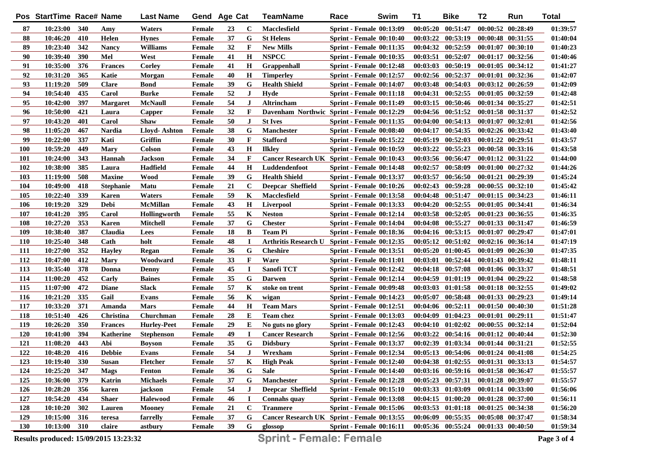|            | Pos StartTime Race# Name |     |                  | <b>Last Name</b>   | Gend Age Cat  |    |              | TeamName                                    | Race                            | Swim | <b>T1</b> | <b>Bike</b>                         | T <sub>2</sub>        | Run               | <b>Total</b> |
|------------|--------------------------|-----|------------------|--------------------|---------------|----|--------------|---------------------------------------------|---------------------------------|------|-----------|-------------------------------------|-----------------------|-------------------|--------------|
| 87         | 10:23:00                 | 340 | Amy              | Waters             | Female        | 23 | C            | Macclesfield                                | <b>Sprint - Female 00:13:09</b> |      |           | $00:05:20$ $00:51:47$               | 00:00:52 00:28:49     |                   | 01:39:57     |
| 88         | 10:46:20                 | 410 | Helen            | <b>Hynes</b>       | Female        | 37 | G            | <b>St Helens</b>                            | Sprint - Female 00:10:40        |      |           | 00:03:22 00:53:19                   | 00:00:48 00:31:55     |                   | 01:40:04     |
| 89         | 10:23:40                 | 342 | <b>Nancy</b>     | <b>Williams</b>    | Female        | 32 | F            | <b>New Mills</b>                            | <b>Sprint - Female 00:11:35</b> |      |           | 00:04:32 00:52:59                   | 00:01:07 00:30:10     |                   | 01:40:23     |
| 90         | 10:39:40                 | 390 | Mel              | West               | Female        | 41 | H            | <b>NSPCC</b>                                | <b>Sprint - Female 00:10:35</b> |      |           | 00:03:51 00:52:07                   | 00:01:17 00:32:56     |                   | 01:40:46     |
| 91         | 10:35:00                 | 376 | <b>Frances</b>   | Corley             | <b>Female</b> | 41 | $\mathbf H$  | Grappenhall                                 | Sprint - Female 00:12:48        |      |           | 00:03:03 00:50:19                   | 00:01:05 00:34:12     |                   | 01:41:27     |
| 92         | 10:31:20                 | 365 | Katie            | Morgan             | Female        | 40 | $\mathbf H$  | <b>Timperley</b>                            | <b>Sprint - Female 00:12:57</b> |      |           | 00:02:56 00:52:37                   | 00:01:01 00:32:36     |                   | 01:42:07     |
| 93         | 11:19:20                 | 509 | <b>Clare</b>     | <b>Bond</b>        | Female        | 39 | G            | <b>Health Shield</b>                        | <b>Sprint - Female 00:14:07</b> |      |           | 00:03:48 00:54:03                   | $00:03:12$ $00:26:59$ |                   | 01:42:09     |
| 94         | 10:54:40                 | 435 | Carol            | <b>Burke</b>       | Female        | 52 | J            | Hyde                                        | <b>Sprint - Female 00:11:18</b> |      |           | 00:04:31 00:52:55                   | $00:01:05$ $00:32:59$ |                   | 01:42:48     |
| 95         | 10:42:00                 | 397 | <b>Margaret</b>  | <b>McNaull</b>     | Female        | 54 | $\bf J$      | Altrincham                                  | <b>Sprint - Female 00:11:49</b> |      |           | $00:03:15$ $00:50:46$               | $00:01:34$ $00:35:27$ |                   | 01:42:51     |
| 96         | 10:50:00                 | 421 | Laura            | Capper             | Female        | 32 | F            | Davenham Northwic Sprint - Female 00:12:29  |                                 |      |           | 00:04:56 00:51:52                   | 00:01:58 00:31:37     |                   | 01:42:52     |
| 97         | 10:43:20                 | 401 | Carol            | Shaw               | Female        | 50 | $\bf J$      | <b>St Ives</b>                              | <b>Sprint - Female 00:11:35</b> |      |           | $00:04:00$ $00:54:13$               | $00:01:07$ $00:32:01$ |                   | 01:42:56     |
| 98         | 11:05:20                 | 467 | <b>Nardia</b>    | Lloyd-Ashton       | Female        | 38 | G            | Manchester                                  | <b>Sprint - Female 00:08:40</b> |      | 00:04:17  | 00:54:35                            | $00:02:26$ $00:33:42$ |                   | 01:43:40     |
| 99         | 10:22:00                 | 337 | Kati             | Griffin            | <b>Female</b> | 30 | $\mathbf{F}$ | <b>Stafford</b>                             | <b>Sprint - Female 00:15:22</b> |      | 00:05:19  | 00:52:03                            | $00:01:22$ $00:29:51$ |                   | 01:43:57     |
| 100        | 10:59:20                 | 449 | <b>Mary</b>      | <b>Colson</b>      | <b>Female</b> | 43 | $\mathbf H$  | <b>Ilkley</b>                               | <b>Sprint - Female 00:10:59</b> |      |           | 00:03:22 00:55:23                   | 00:00:58 00:33:16     |                   | 01:43:58     |
| 101        | 10:24:00                 | 343 | Hannah           | <b>Jackson</b>     | <b>Female</b> | 34 | F            | Cancer Research UK Sprint - Female 00:10:43 |                                 |      |           | 00:03:56 00:56:47                   | 00:01:12 00:31:22     |                   | 01:44:00     |
| 102        | 10:38:00                 | 385 | Laura            | Hadfield           | <b>Female</b> | 44 | $\mathbf H$  | Luddendenfoot                               | <b>Sprint - Female 00:14:48</b> |      | 00:02:57  | 00:58:09                            | 00:01:00 00:27:32     |                   | 01:44:26     |
| 103        | 11:19:00                 | 508 | <b>Maxine</b>    | <b>Wood</b>        | <b>Female</b> | 39 | G            | <b>Health Shield</b>                        | <b>Sprint - Female 00:13:37</b> |      | 00:03:57  | 00:56:50                            | $00:01:21$ $00:29:39$ |                   | 01:45:24     |
| 104        | 10:49:00                 | 418 | <b>Stephanie</b> | Matu               | <b>Female</b> | 21 | $\mathbf C$  | <b>Deepcar Sheffield</b>                    | <b>Sprint - Female 00:10:26</b> |      |           | 00:02:43 00:59:28                   | $00:00:55$ $00:32:10$ |                   | 01:45:42     |
| 105        | 10:22:40                 | 339 | <b>Karen</b>     | Waters             | Female        | 59 | K            | Macclesfield                                | <b>Sprint - Female 00:13:58</b> |      |           | 00:04:48 00:51:47                   | 00:01:15 00:34:23     |                   | 01:46:11     |
| 106        | 10:19:20                 | 329 | <b>Debi</b>      | <b>McMillan</b>    | <b>Female</b> | 43 | $\mathbf H$  | Liverpool                                   | <b>Sprint - Female 00:13:33</b> |      |           | $00:04:20$ $00:52:55$               | $00:01:05$ $00:34:41$ |                   | 01:46:34     |
| 107        | 10:41:20                 | 395 | Carol            | Hollingworth       | Female        | 55 | K            | <b>Neston</b>                               | Sprint - Female 00:12:14        |      |           | 00:03:58 00:52:05                   | 00:01:23 00:36:55     |                   | 01:46:35     |
| 108        | 10:27:20                 | 353 | <b>Karen</b>     | <b>Mitchell</b>    | <b>Female</b> | 37 | G            | <b>Chester</b>                              | Sprint - Female 00:14:04        |      |           | 00:04:08 00:55:27                   | 00:01:33 00:31:47     |                   | 01:46:59     |
| 109        | 10:38:40                 | 387 | Claudia          | Lees               | Female        | 18 | B            | <b>Team Pi</b>                              | Sprint - Female 00:18:36        |      |           | 00:04:16 00:53:15                   | 00:01:07 00:29:47     |                   | 01:47:01     |
| <b>110</b> | 10:25:40                 | 348 | Cath             | holt               | <b>Female</b> | 48 | $\bf I$      | <b>Arthritis Research U</b>                 | Sprint - Female $00:12:35$      |      |           | 00:05:12 00:51:02                   | 00:02:16 00:36:14     |                   | 01:47:19     |
| 111        | 10:27:00                 | 352 | <b>Hayley</b>    | Regan              | Female        | 36 | G            | <b>Cheshire</b>                             | <b>Sprint - Female 00:13:51</b> |      | 00:05:20  | 01:00:45                            | 00:01:09 00:26:30     |                   | 01:47:35     |
| 112        | 10:47:00                 | 412 | <b>Mary</b>      | Woodward           | Female        | 33 | $\mathbf{F}$ | Ware                                        | <b>Sprint - Female 00:11:01</b> |      | 00:03:01  | 00:52:44                            | 00:01:43 00:39:42     |                   | 01:48:11     |
| 113        | 10:35:40                 | 378 | Donna            | Denny              | Female        | 45 | $\bf I$      | Sanofi TCT                                  | <b>Sprint - Female 00:12:42</b> |      |           | 00:04:18 00:57:08                   | 00:01:06 00:33:37     |                   | 01:48:51     |
| 114        | 11:00:20                 | 452 | Carly            | <b>Baines</b>      | <b>Female</b> | 35 | G            | <b>Darwen</b>                               | <b>Sprint - Female 00:12:14</b> |      | 00:04:59  | 01:01:19                            |                       | 00:01:04 00:29:22 | 01:48:58     |
| 115        | 11:07:00                 | 472 | <b>Diane</b>     | Slack              | <b>Female</b> | 57 | K            | stoke on trent                              | <b>Sprint - Female 00:09:48</b> |      |           | 00:03:03 01:01:58                   | $00:01:18$ $00:32:55$ |                   | 01:49:02     |
| 116        | 10:21:20                 | 335 | Gail             | Evans              | Female        | 56 | K            | wigan                                       | <b>Sprint - Female 00:14:23</b> |      | 00:05:07  | 00:58:48                            | 00:01:33 00:29:23     |                   | 01:49:14     |
| 117        | 10:33:20                 | 371 | Amanda           | <b>Mars</b>        | <b>Female</b> | 44 | $\bf H$      | <b>Team Mars</b>                            | <b>Sprint - Female 00:12:51</b> |      | 00:04:06  | 00:52:11                            |                       | 00:01:50 00:40:30 | 01:51:28     |
| 118        | 10:51:40                 | 426 | Christina        | Churchman          | Female        | 28 | E            | <b>Team chez</b>                            | <b>Sprint - Female 00:13:03</b> |      | 00:04:09  | 01:04:23                            | 00:01:01 00:29:11     |                   | 01:51:47     |
| 119        | 10:26:20                 | 350 | <b>Frances</b>   | <b>Hurley-Peet</b> | Female        | 29 | Е            | No guts no glory                            | <b>Sprint - Female 00:12:43</b> |      | 00:04:10  | 01:02:02                            |                       | 00:00:55 00:32:14 | 01:52:04     |
| <b>120</b> | 10:41:00                 | 394 | <b>Katherine</b> | <b>Stephenson</b>  | Female        | 49 | $\bf{I}$     | <b>Cancer Research</b>                      | <b>Sprint - Female 00:12:56</b> |      | 00:03:22  | 00:54:16                            |                       | 00:01:12 00:40:44 | 01:52:30     |
| 121        | 11:08:20                 | 443 | Abi              | <b>Boyson</b>      | <b>Female</b> | 35 | G            | <b>Didsbury</b>                             | <b>Sprint - Female 00:13:37</b> |      | 00:02:39  | 01:03:34                            |                       | 00:01:44 00:31:21 | 01:52:55     |
| 122        | 10:48:20                 | 416 | <b>Debbie</b>    | Evans              | Female        | 54 | J            | Wrexham                                     | Sprint - Female 00:12:34        |      |           | $00:05:13$ $00:54:06$               | $00:01:24$ $00:41:08$ |                   | 01:54:25     |
| 123        | 10:19:40                 | 330 | <b>Susan</b>     | Fletcher           | Female        | 57 | K            | <b>High Peak</b>                            | <b>Sprint - Female 00:12:40</b> |      |           | 00:04:38 01:02:55 00:01:31 00:33:13 |                       |                   | 01:54:57     |
| 124        | 10:25:20                 | 347 | <b>Mags</b>      | <b>Fenton</b>      | <b>Female</b> | 36 | G            | <b>Sale</b>                                 | Sprint - Female 00:14:40        |      |           | 00:03:16 00:59:16                   | 00:01:58 00:36:47     |                   | 01:55:57     |
| 125        | 10:36:00                 | 379 | Katrin           | <b>Michaels</b>    | Female        | 37 | G            | <b>Manchester</b>                           | <b>Sprint - Female 00:12:28</b> |      |           | 00:05:23 00:57:31                   | 00:01:28 00:39:07     |                   | 01:55:57     |
| 126        | 10:28:20                 | 356 | karen            | jackson            | <b>Female</b> | 54 | $\bf J$      | <b>Deepcar Sheffield</b>                    | <b>Sprint - Female 00:15:10</b> |      |           | 00:03:33 01:03:09                   | 00:01:14 00:33:00     |                   | 01:56:06     |
| 127        | 10:54:20                 | 434 | <b>Shaer</b>     | Halewood           | Female        | 46 | $\bf{I}$     | Connahs quay                                | <b>Sprint - Female 00:13:08</b> |      |           | $00:04:15$ $01:00:20$               | 00:01:28 00:37:00     |                   | 01:56:11     |
| 128        | 10:10:20                 | 302 | Lauren           | <b>Mooney</b>      | Female        | 21 | $\mathbf c$  | <b>Tranmere</b>                             | <b>Sprint - Female 00:15:06</b> |      |           | $00:03:53$ $01:01:18$               | $00:01:25$ $00:34:38$ |                   | 01:56:20     |
| 129        | 10:15:00                 | 316 | teresa           | farrelly           | Female        | 37 | G            | Cancer Research UK Sprint - Female 00:13:55 |                                 |      |           | 00:06:09 00:55:35                   | 00:05:08 00:37:47     |                   | 01:58:34     |
| <b>130</b> | 10:13:00 310             |     | claire           | astbury            | Female        | 39 | G            | glossop                                     | Sprint - Female 00:16:11        |      |           | $00:05:36$ $00:55:24$               | 00:01:33 00:40:50     |                   | 01:59:34     |